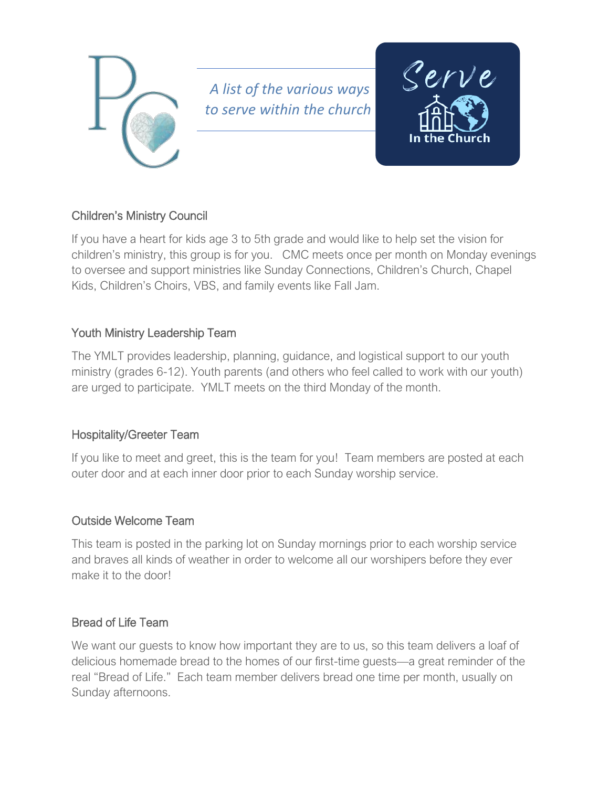

*A list of the various ways to serve within the church*



# Children's Ministry Council

If you have a heart for kids age 3 to 5th grade and would like to help set the vision for children's ministry, this group is for you. CMC meets once per month on Monday evenings to oversee and support ministries like Sunday Connections, Children's Church, Chapel Kids, Children's Choirs, VBS, and family events like Fall Jam.

## Youth Ministry Leadership Team

The YMLT provides leadership, planning, guidance, and logistical support to our youth ministry (grades 6-12). Youth parents (and others who feel called to work with our youth) are urged to participate. YMLT meets on the third Monday of the month.

## Hospitality/Greeter Team

If you like to meet and greet, this is the team for you! Team members are posted at each outer door and at each inner door prior to each Sunday worship service.

## Outside Welcome Team

This team is posted in the parking lot on Sunday mornings prior to each worship service and braves all kinds of weather in order to welcome all our worshipers before they ever make it to the door!

## Bread of Life Team

We want our quests to know how important they are to us, so this team delivers a loaf of delicious homemade bread to the homes of our first-time guests—a great reminder of the real "Bread of Life." Each team member delivers bread one time per month, usually on Sunday afternoons.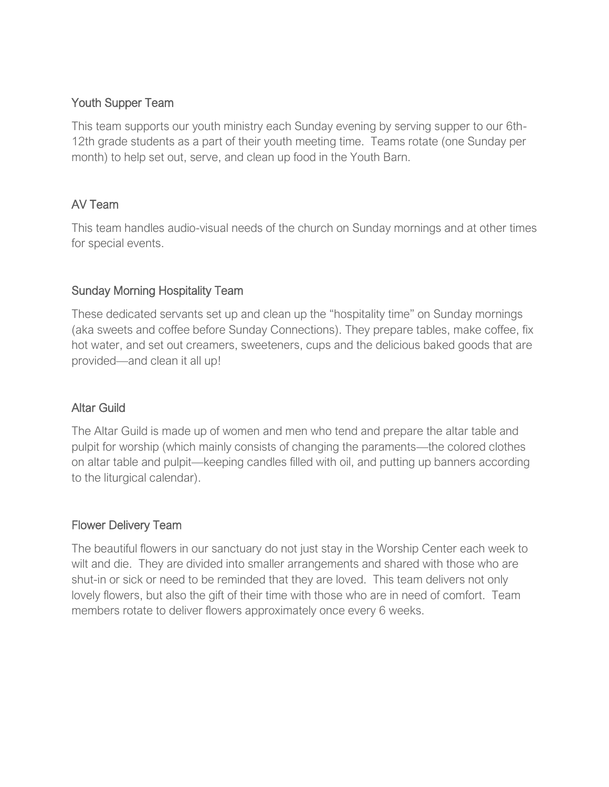#### Youth Supper Team

This team supports our youth ministry each Sunday evening by serving supper to our 6th-12th grade students as a part of their youth meeting time. Teams rotate (one Sunday per month) to help set out, serve, and clean up food in the Youth Barn.

## AV Team

This team handles audio-visual needs of the church on Sunday mornings and at other times for special events.

# Sunday Morning Hospitality Team

These dedicated servants set up and clean up the "hospitality time" on Sunday mornings (aka sweets and coffee before Sunday Connections). They prepare tables, make coffee, fix hot water, and set out creamers, sweeteners, cups and the delicious baked goods that are provided—and clean it all up!

## Altar Guild

The Altar Guild is made up of women and men who tend and prepare the altar table and pulpit for worship (which mainly consists of changing the paraments—the colored clothes on altar table and pulpit—keeping candles filled with oil, and putting up banners according to the liturgical calendar).

## Flower Delivery Team

The beautiful flowers in our sanctuary do not just stay in the Worship Center each week to wilt and die. They are divided into smaller arrangements and shared with those who are shut-in or sick or need to be reminded that they are loved. This team delivers not only lovely flowers, but also the gift of their time with those who are in need of comfort. Team members rotate to deliver flowers approximately once every 6 weeks.